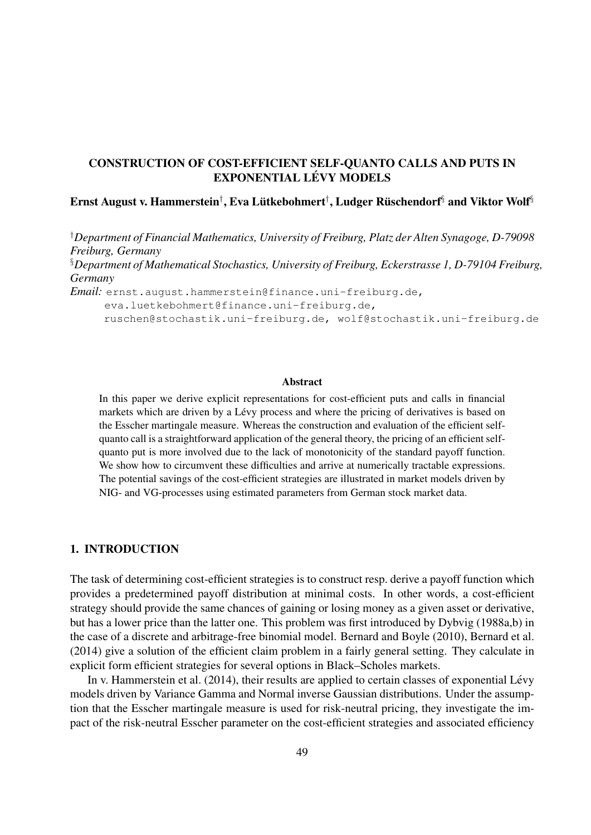# CONSTRUCTION OF COST-EFFICIENT SELF-QUANTO CALLS AND PUTS IN EXPONENTIAL LÉVY MODELS

# Ernst August v. Hammerstein†, Eva Lütkebohmert†, Ludger Rüschendorf§ and Viktor Wolf§

†*Department of Financial Mathematics, University of Freiburg, Platz der Alten Synagoge, D-79098 Freiburg, Germany*

§*Department of Mathematical Stochastics, University of Freiburg, Eckerstrasse 1, D-79104 Freiburg, Germany*

*Email:* ernst.august.hammerstein@finance.uni-freiburg.de,

eva.luetkebohmert@finance.uni-freiburg.de,

ruschen@stochastik.uni-freiburg.de, wolf@stochastik.uni-freiburg.de

#### Abstract

In this paper we derive explicit representations for cost-efficient puts and calls in financial markets which are driven by a Lévy process and where the pricing of derivatives is based on the Esscher martingale measure. Whereas the construction and evaluation of the efficient selfquanto call is a straightforward application of the general theory, the pricing of an efficient selfquanto put is more involved due to the lack of monotonicity of the standard payoff function. We show how to circumvent these difficulties and arrive at numerically tractable expressions. The potential savings of the cost-efficient strategies are illustrated in market models driven by NIG- and VG-processes using estimated parameters from German stock market data.

## 1. INTRODUCTION

The task of determining cost-efficient strategies is to construct resp. derive a payoff function which provides a predetermined payoff distribution at minimal costs. In other words, a cost-efficient strategy should provide the same chances of gaining or losing money as a given asset or derivative, but has a lower price than the latter one. This problem was first introduced by Dybvig (1988a,b) in the case of a discrete and arbitrage-free binomial model. Bernard and Boyle (2010), Bernard et al. (2014) give a solution of the efficient claim problem in a fairly general setting. They calculate in explicit form efficient strategies for several options in Black–Scholes markets.

In v. Hammerstein et al.  $(2014)$ , their results are applied to certain classes of exponential Lévy models driven by Variance Gamma and Normal inverse Gaussian distributions. Under the assumption that the Esscher martingale measure is used for risk-neutral pricing, they investigate the impact of the risk-neutral Esscher parameter on the cost-efficient strategies and associated efficiency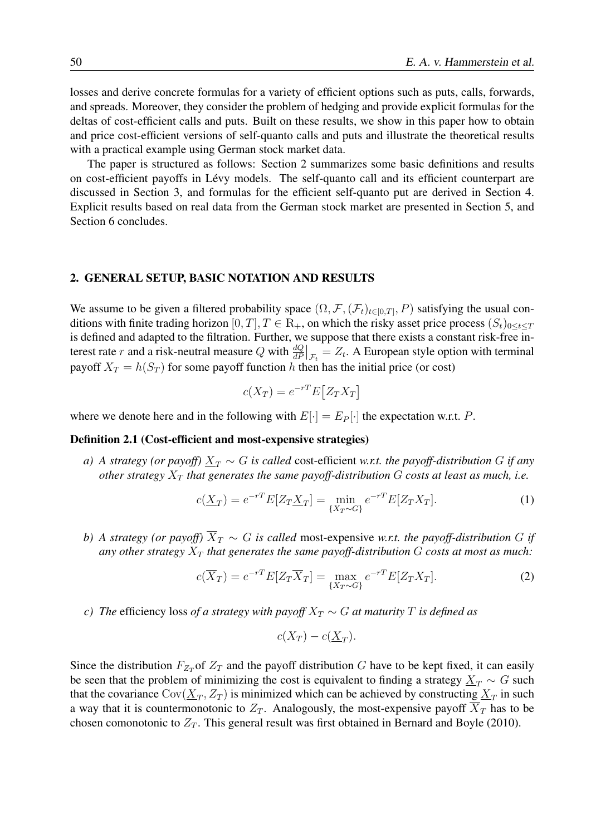losses and derive concrete formulas for a variety of efficient options such as puts, calls, forwards, and spreads. Moreover, they consider the problem of hedging and provide explicit formulas for the deltas of cost-efficient calls and puts. Built on these results, we show in this paper how to obtain and price cost-efficient versions of self-quanto calls and puts and illustrate the theoretical results with a practical example using German stock market data.

The paper is structured as follows: Section 2 summarizes some basic definitions and results on cost-efficient payoffs in Lévy models. The self-quanto call and its efficient counterpart are discussed in Section 3, and formulas for the efficient self-quanto put are derived in Section 4. Explicit results based on real data from the German stock market are presented in Section 5, and Section 6 concludes.

### 2. GENERAL SETUP, BASIC NOTATION AND RESULTS

We assume to be given a filtered probability space  $(\Omega, \mathcal{F}, (\mathcal{F}_t)_{t \in [0,T]}, P)$  satisfying the usual conditions with finite trading horizon [0, T],  $T \in \mathbb{R}_+$ , on which the risky asset price process  $(S_t)_{0 \le t \le T}$ is defined and adapted to the filtration. Further, we suppose that there exists a constant risk-free interest rate r and a risk-neutral measure Q with  $\frac{dQ}{dP}\big|_{\mathcal{F}_t} = Z_t$ . A European style option with terminal payoff  $X_T = h(S_T)$  for some payoff function h then has the initial price (or cost)

$$
c(X_T) = e^{-rT} E[Z_T X_T]
$$

where we denote here and in the following with  $E[\cdot] = E_P[\cdot]$  the expectation w.r.t. P.

## Definition 2.1 (Cost-efficient and most-expensive strategies)

*a)* A strategy (or payoff)  $\underline{X}_T \sim G$  is called cost-efficient *w.r.t.* the payoff-distribution G if any *other strategy*  $X_T$  *that generates the same payoff-distribution*  $G$  *costs at least as much, i.e.* 

$$
c(\underline{X}_T) = e^{-rT} E[Z_T \underline{X}_T] = \min_{\{X_T \sim G\}} e^{-rT} E[Z_T X_T].
$$
 (1)

*b)* A strategy (or payoff)  $\overline{X}_T \sim G$  is called most-expensive w.r.t. the payoff-distribution G if any other strategy  $X_T$  that generates the same payoff-distribution  $G$  costs at most as much:

$$
c(\overline{X}_T) = e^{-rT} E[Z_T \overline{X}_T] = \max_{\{X_T \sim G\}} e^{-rT} E[Z_T X_T].
$$
\n(2)

*c)* The efficiency loss *of a strategy with payoff*  $X_T \sim G$  *at maturity* T *is defined as* 

$$
c(X_T) - c(\underline{X}_T).
$$

Since the distribution  $F_{Z_T}$  of  $Z_T$  and the payoff distribution G have to be kept fixed, it can easily be seen that the problem of minimizing the cost is equivalent to finding a strategy  $X_T \sim G$  such that the covariance  $\text{Cov}(\underline{X}_T, Z_T)$  is minimized which can be achieved by constructing  $\underline{X}_T$  in such a way that it is countermonotonic to  $Z_T$ . Analogously, the most-expensive payoff  $X_T$  has to be chosen comonotonic to  $Z_T$ . This general result was first obtained in Bernard and Boyle (2010).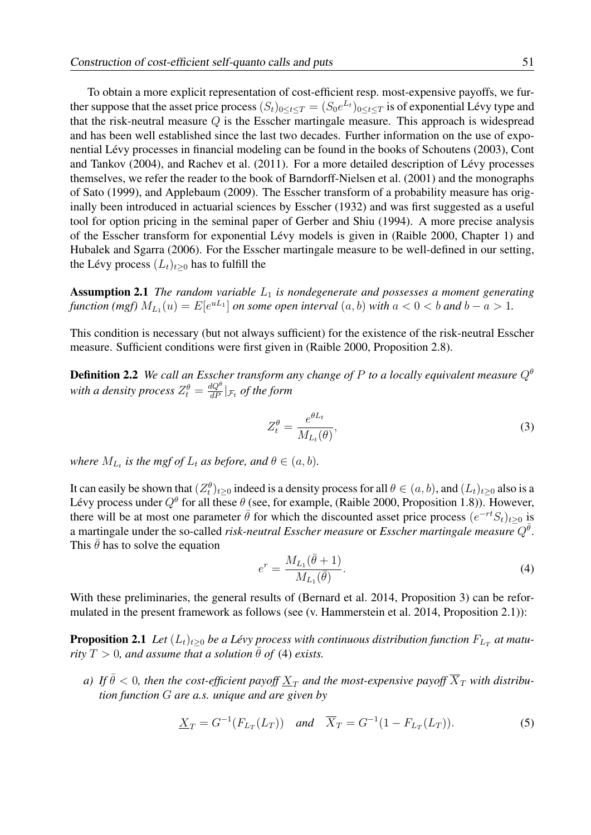To obtain a more explicit representation of cost-efficient resp. most-expensive payoffs, we further suppose that the asset price process  $(S_t)_{0 \le t \le T} = (S_0 e^{L_t})_{0 \le t \le T}$  is of exponential Lévy type and that the risk-neutral measure  $Q$  is the Esscher martingale measure. This approach is widespread and has been well established since the last two decades. Further information on the use of exponential Levy processes in financial modeling can be found in the books of Schoutens (2003), Cont ´ and Tankov (2004), and Rachev et al. (2011). For a more detailed description of Lévy processes themselves, we refer the reader to the book of Barndorff-Nielsen et al. (2001) and the monographs of Sato (1999), and Applebaum (2009). The Esscher transform of a probability measure has originally been introduced in actuarial sciences by Esscher (1932) and was first suggested as a useful tool for option pricing in the seminal paper of Gerber and Shiu (1994). A more precise analysis of the Esscher transform for exponential Lévy models is given in (Raible 2000, Chapter 1) and Hubalek and Sgarra (2006). For the Esscher martingale measure to be well-defined in our setting, the Lévy process  $(L_t)_{t\geq0}$  has to fulfill the

Assumption 2.1 *The random variable*  $L_1$  *is nondegenerate and possesses a moment generating function (mgf)*  $M_{L_1}(u) = E[e^{uL_1}]$  *on some open interval*  $(a, b)$  *with*  $a < 0 < b$  *and*  $b - a > 1$ *.* 

This condition is necessary (but not always sufficient) for the existence of the risk-neutral Esscher measure. Sufficient conditions were first given in (Raible 2000, Proposition 2.8).

Definition 2.2 *We call an Esscher transform any change of* P *to a locally equivalent measure* Q<sup>θ</sup> with a density process  $Z^\theta_t = \frac{dQ^\theta}{dP}|_{\mathcal{F}_t}$  of the form

$$
Z_t^{\theta} = \frac{e^{\theta L_t}}{M_{L_t}(\theta)},
$$
\n(3)

*where*  $M_{L_t}$  *is the mgf of*  $L_t$  *as before, and*  $\theta \in (a, b)$ *.* 

It can easily be shown that  $(Z_t^{\theta})_{t\geq0}$  indeed is a density process for all  $\theta\in(a,b)$ , and  $(L_t)_{t\geq0}$  also is a Lévy process under  $Q^{\theta}$  for all these  $\theta$  (see, for example, (Raible 2000, Proposition 1.8)). However, there will be at most one parameter  $\bar{\theta}$  for which the discounted asset price process  $(e^{-rt}S_t)_{t\geq 0}$  is a martingale under the so-called *risk-neutral Esscher measure* or *Esscher martingale measure*  $Q^{\bar{\theta}}$ . This  $\theta$  has to solve the equation

$$
e^{r} = \frac{M_{L_1}(\bar{\theta} + 1)}{M_{L_1}(\bar{\theta})}.
$$
\n(4)

With these preliminaries, the general results of (Bernard et al. 2014, Proposition 3) can be reformulated in the present framework as follows (see (v. Hammerstein et al. 2014, Proposition 2.1)):

**Proposition 2.1** Let  $(L_t)_{t\geq 0}$  be a Lévy process with continuous distribution function  $F_{L_T}$  at matu*rity*  $T > 0$ *, and assume that a solution*  $\theta$  *of* (4) *exists.* 

*a)* If  $\bar{\theta}$  < 0, then the cost-efficient payoff  $X_T$  and the most-expensive payoff  $\overline{X}_T$  with distribu*tion function* G *are a.s. unique and are given by*

$$
\underline{X}_T = G^{-1}(F_{L_T}(L_T)) \quad \text{and} \quad \overline{X}_T = G^{-1}(1 - F_{L_T}(L_T)). \tag{5}
$$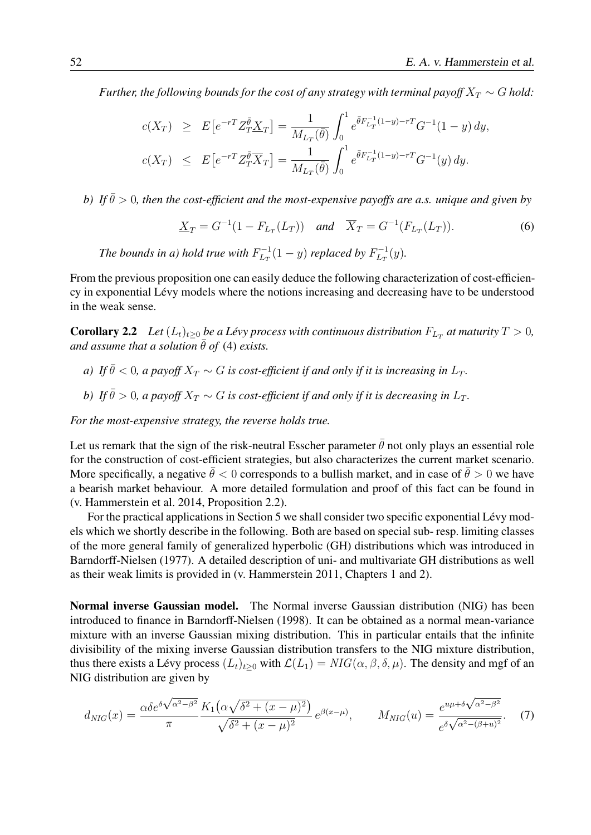*Further, the following bounds for the cost of any strategy with terminal payoff*  $X_T \sim G$  *hold:* 

$$
c(X_T) \geq E\left[e^{-rT}Z_T^{\bar{\theta}}\underline{X}_T\right] = \frac{1}{M_{L_T}(\bar{\theta})} \int_0^1 e^{\bar{\theta}F_{L_T}^{-1}(1-y)-rT} G^{-1}(1-y) dy,
$$
  

$$
c(X_T) \leq E\left[e^{-rT}Z_T^{\bar{\theta}}\overline{X}_T\right] = \frac{1}{M_{L_T}(\bar{\theta})} \int_0^1 e^{\bar{\theta}F_{L_T}^{-1}(1-y)-rT} G^{-1}(y) dy.
$$

*b)* If  $\bar{\theta} > 0$ , then the cost-efficient and the most-expensive payoffs are a.s. unique and given by

$$
\underline{X}_T = G^{-1}(1 - F_{L_T}(L_T)) \quad \text{and} \quad \overline{X}_T = G^{-1}(F_{L_T}(L_T)). \tag{6}
$$

*The bounds in a) hold true with*  $F^{-1}_{LT}$  $L_T^{-1}(1-y)$  replaced by  $F_{L_T}^{-1}$  $L_T^{-1}(y)$ .

From the previous proposition one can easily deduce the following characterization of cost-efficiency in exponential Lévy models where the notions increasing and decreasing have to be understood in the weak sense.

**Corollary 2.2** Let  $(L_t)_{t\geq0}$  be a Lévy process with continuous distribution  $F_{L_T}$  at maturity  $T > 0$ , *and assume that a solution*  $\bar{\theta}$  *of* (4) *exists.* 

- *a)* If  $\bar{\theta}$  < 0, a payoff  $X_T \sim G$  is cost-efficient if and only if it is increasing in  $L_T$ .
- *b)* If  $\bar{\theta} > 0$ , a payoff  $X_T \sim G$  is cost-efficient if and only if it is decreasing in  $L_T$ .

*For the most-expensive strategy, the reverse holds true.*

Let us remark that the sign of the risk-neutral Esscher parameter  $\bar{\theta}$  not only plays an essential role for the construction of cost-efficient strategies, but also characterizes the current market scenario. More specifically, a negative  $\bar{\theta} < 0$  corresponds to a bullish market, and in case of  $\bar{\theta} > 0$  we have a bearish market behaviour. A more detailed formulation and proof of this fact can be found in (v. Hammerstein et al. 2014, Proposition 2.2).

For the practical applications in Section 5 we shall consider two specific exponential Lévy models which we shortly describe in the following. Both are based on special sub- resp. limiting classes of the more general family of generalized hyperbolic (GH) distributions which was introduced in Barndorff-Nielsen (1977). A detailed description of uni- and multivariate GH distributions as well as their weak limits is provided in (v. Hammerstein 2011, Chapters 1 and 2).

Normal inverse Gaussian model. The Normal inverse Gaussian distribution (NIG) has been introduced to finance in Barndorff-Nielsen (1998). It can be obtained as a normal mean-variance mixture with an inverse Gaussian mixing distribution. This in particular entails that the infinite divisibility of the mixing inverse Gaussian distribution transfers to the NIG mixture distribution, thus there exists a Lévy process  $(L_t)_{t\geq0}$  with  $\mathcal{L}(L_1) = NIG(\alpha, \beta, \delta, \mu)$ . The density and mgf of an NIG distribution are given by

$$
d_{NIG}(x) = \frac{\alpha \delta e^{\delta \sqrt{\alpha^2 - \beta^2}}}{\pi} \frac{K_1(\alpha \sqrt{\delta^2 + (x - \mu)^2})}{\sqrt{\delta^2 + (x - \mu)^2}} e^{\beta(x - \mu)}, \qquad M_{NIG}(u) = \frac{e^{u\mu + \delta \sqrt{\alpha^2 - \beta^2}}}{e^{\delta \sqrt{\alpha^2 - (\beta + u)^2}}}.
$$
 (7)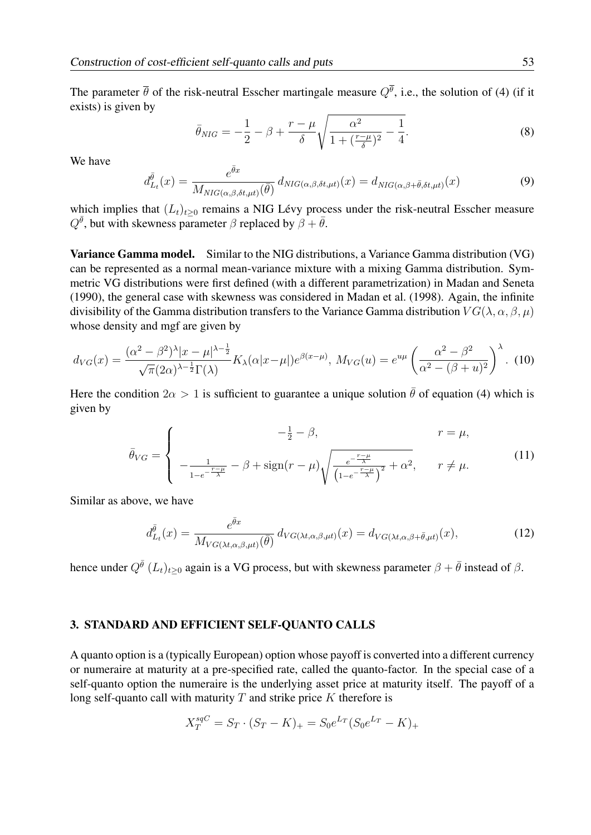The parameter  $\bar{\theta}$  of the risk-neutral Esscher martingale measure  $Q^{\theta}$ , i.e., the solution of (4) (if it exists) is given by

$$
\bar{\theta}_{NIG} = -\frac{1}{2} - \beta + \frac{r - \mu}{\delta} \sqrt{\frac{\alpha^2}{1 + (\frac{r - \mu}{\delta})^2} - \frac{1}{4}}.
$$
\n(8)

We have

$$
d_{L_t}^{\bar{\theta}}(x) = \frac{e^{\bar{\theta}x}}{M_{NIG(\alpha,\beta,\delta t,\mu t)}(\bar{\theta})} d_{NIG(\alpha,\beta,\delta t,\mu t)}(x) = d_{NIG(\alpha,\beta+\bar{\theta},\delta t,\mu t)}(x)
$$
(9)

which implies that  $(L_t)_{t\geq0}$  remains a NIG Lévy process under the risk-neutral Esscher measure  $Q^{\bar{\theta}}$ , but with skewness parameter  $\beta$  replaced by  $\beta + \bar{\theta}$ .

Variance Gamma model. Similar to the NIG distributions, a Variance Gamma distribution (VG) can be represented as a normal mean-variance mixture with a mixing Gamma distribution. Symmetric VG distributions were first defined (with a different parametrization) in Madan and Seneta (1990), the general case with skewness was considered in Madan et al. (1998). Again, the infinite divisibility of the Gamma distribution transfers to the Variance Gamma distribution  $VG(\lambda, \alpha, \beta, \mu)$ whose density and mgf are given by

$$
d_{VG}(x) = \frac{(\alpha^2 - \beta^2)^{\lambda} |x - \mu|^{\lambda - \frac{1}{2}}}{\sqrt{\pi} (2\alpha)^{\lambda - \frac{1}{2}} \Gamma(\lambda)} K_{\lambda}(\alpha |x - \mu|) e^{\beta(x - \mu)}, M_{VG}(u) = e^{u\mu} \left(\frac{\alpha^2 - \beta^2}{\alpha^2 - (\beta + u)^2}\right)^{\lambda}.
$$
 (10)

Here the condition  $2\alpha > 1$  is sufficient to guarantee a unique solution  $\bar{\theta}$  of equation (4) which is given by

$$
\bar{\theta}_{VG} = \begin{cases}\n\frac{-\frac{1}{2} - \beta, & r = \mu, \\
-\frac{1}{1 - e^{-\frac{r - \mu}{\lambda}}} - \beta + \text{sign}(r - \mu) \sqrt{\frac{e^{-\frac{r - \mu}{\lambda}}}{(1 - e^{-\frac{r - \mu}{\lambda}})^2} + \alpha^2}, & r \neq \mu.\n\end{cases}
$$
\n(11)

Similar as above, we have

$$
d_{L_t}^{\bar{\theta}}(x) = \frac{e^{\bar{\theta}x}}{M_{VG(\lambda t, \alpha, \beta, \mu t)}(\bar{\theta})} d_{VG(\lambda t, \alpha, \beta, \mu t)}(x) = d_{VG(\lambda t, \alpha, \beta + \bar{\theta}, \mu t)}(x), \tag{12}
$$

hence under  $Q^{\bar{\theta}}$   $(L_t)_{t\geq 0}$  again is a VG process, but with skewness parameter  $\beta + \bar{\theta}$  instead of  $\beta$ .

## 3. STANDARD AND EFFICIENT SELF-QUANTO CALLS

A quanto option is a (typically European) option whose payoff is converted into a different currency or numeraire at maturity at a pre-specified rate, called the quanto-factor. In the special case of a self-quanto option the numeraire is the underlying asset price at maturity itself. The payoff of a long self-quanto call with maturity  $T$  and strike price  $K$  therefore is

$$
X_T^{sqC} = S_T \cdot (S_T - K)_+ = S_0 e^{L_T} (S_0 e^{L_T} - K)_+
$$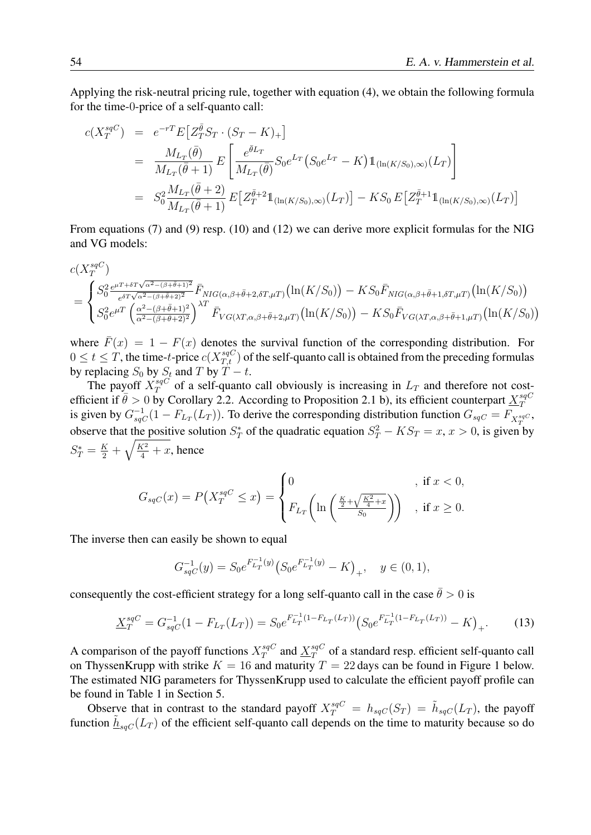Applying the risk-neutral pricing rule, together with equation (4), we obtain the following formula for the time-0-price of a self-quanto call:

$$
c(X_T^{sqC}) = e^{-rT} E[Z_T^{\bar{\theta}} S_T \cdot (S_T - K)_+]
$$
  
\n
$$
= \frac{M_{L_T}(\bar{\theta})}{M_{L_T}(\bar{\theta} + 1)} E\left[\frac{e^{\bar{\theta}L_T}}{M_{L_T}(\bar{\theta})} S_0 e^{L_T} (S_0 e^{L_T} - K) \mathbb{1}_{(\ln(K/S_0), \infty)}(L_T)\right]
$$
  
\n
$$
= S_0^2 \frac{M_{L_T}(\bar{\theta} + 2)}{M_{L_T}(\bar{\theta} + 1)} E[Z_T^{\bar{\theta}+2} \mathbb{1}_{(\ln(K/S_0), \infty)}(L_T)] - KS_0 E[Z_T^{\bar{\theta}+1} \mathbb{1}_{(\ln(K/S_0), \infty)}(L_T)]
$$

From equations (7) and (9) resp. (10) and (12) we can derive more explicit formulas for the NIG and VG models:

$$
c(X_T^{sqC})
$$
  
= 
$$
\begin{cases} S_0^{2} \frac{e^{\mu T + \delta T \sqrt{\alpha^2 - (\beta + \bar{\theta} + 1)^2}}}{e^{\delta T \sqrt{\alpha^2 - (\beta + \bar{\theta} + 2)^2}}} \bar{F}_{NIG(\alpha, \beta + \bar{\theta} + 2, \delta T, \mu T)} (\ln(K/S_0)) - KS_0 \bar{F}_{NIG(\alpha, \beta + \bar{\theta} + 1, \delta T, \mu T)} (\ln(K/S_0)) \\ S_0^{2} e^{\mu T} \left( \frac{\alpha^2 - (\beta + \bar{\theta} + 1)^2}{\alpha^2 - (\beta + \bar{\theta} + 2)^2} \right)^{\lambda T} \bar{F}_{VG(\lambda T, \alpha, \beta + \bar{\theta} + 2, \mu T)} (\ln(K/S_0)) - KS_0 \bar{F}_{VG(\lambda T, \alpha, \beta + \bar{\theta} + 1, \mu T)} (\ln(K/S_0)) \end{cases}
$$

where  $\bar{F}(x) = 1 - F(x)$  denotes the survival function of the corresponding distribution. For  $0 \le t \le T$ , the time-t-price  $c(X_{T,t}^{sqC})$  of the self-quanto call is obtained from the preceding formulas by replacing  $S_0$  by  $S_t$  and T by  $T - t$ .

The payoff  $X^{sqC}_{T}$  $T_T^{sqC}$  of a self-quanto call obviously is increasing in  $L_T$  and therefore not costefficient if  $\bar{\theta} > 0$  by Corollary 2.2. According to Proposition 2.1 b), its efficient counterpart  $X_{\tau}^{sqC}$ T is given by  $G_{sqC}^{-1}(1 - F_{L_T}(L_T))$ . To derive the corresponding distribution function  $G_{sqC} = F_{X_T^{sqC}}$ , observe that the positive solution  $S_T^*$  of the quadratic equation  $S_T^2 - KS_T = x, x > 0$ , is given by  $S_T^* = \frac{K}{2} + \sqrt{\frac{K^2}{4} + x}$ , hence

$$
G_{sqC}(x) = P\left(X_T^{sqC} \le x\right) = \begin{cases} 0 & \text{if } x < 0, \\ F_{L_T}\left(\ln\left(\frac{\frac{K}{2} + \sqrt{\frac{K^2}{4} + x}}{S_0}\right)\right) & \text{if } x \ge 0. \end{cases}
$$

The inverse then can easily be shown to equal

$$
G_{sqC}^{-1}(y) = S_0 e^{F_{L_T}^{-1}(y)} \left( S_0 e^{F_{L_T}^{-1}(y)} - K \right)_+, \quad y \in (0, 1),
$$

consequently the cost-efficient strategy for a long self-quanto call in the case  $\bar{\theta} > 0$  is

$$
\underline{X}_T^{sqC} = G_{sqC}^{-1}(1 - F_{L_T}(L_T)) = S_0 e^{F_{L_T}^{-1}(1 - F_{L_T}(L_T))} \left( S_0 e^{F_{L_T}^{-1}(1 - F_{L_T}(L_T))} - K \right)_+.
$$
 (13)

A comparison of the payoff functions  $X_T^{sqC}$  $\frac{qG}{T}$  and  $\frac{X^{sqC}}{T}$  $T^{sqC}_{T}$  of a standard resp. efficient self-quanto call on ThyssenKrupp with strike  $K = 16$  and maturity  $T = 22$  days can be found in Figure 1 below. The estimated NIG parameters for ThyssenKrupp used to calculate the efficient payoff profile can be found in Table 1 in Section 5.

Observe that in contrast to the standard payoff  $X_T^{sqC} = h_{sqC}(S_T) = \tilde{h}_{sqC}(L_T)$ , the payoff function  $\tilde{h}_{sqC}(L_T)$  of the efficient self-quanto call depends on the time to maturity because so do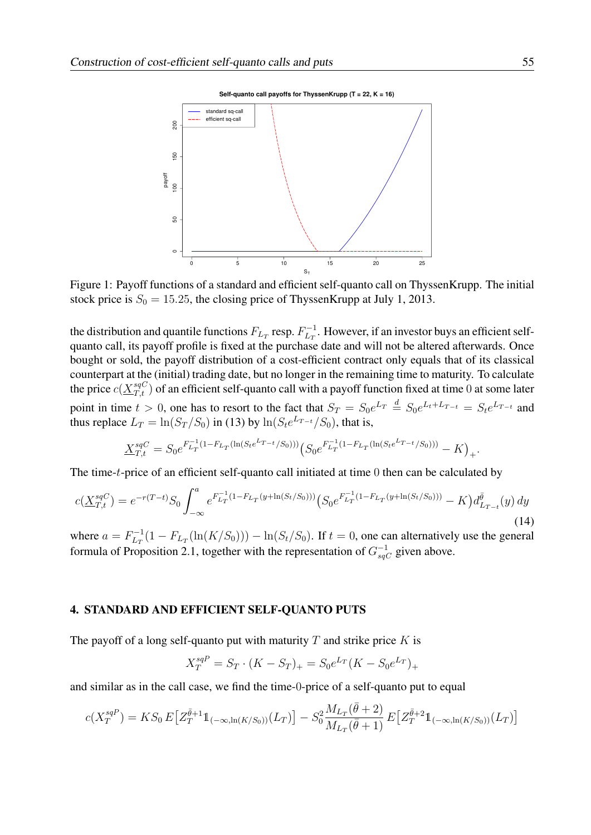**Self-quanto call payoffs for ThyssenKrupp (T = 22, K = 16)**



Figure 1: Payoff functions of a standard and efficient self-quanto call on ThyssenKrupp. The initial stock price is  $S_0 = 15.25$ , the closing price of ThyssenKrupp at July 1, 2013.

the distribution and quantile functions  $F_{L_T}$  resp.  $F_{L_T}^{-1}$  $\frac{L}{L_T}$ . However, if an investor buys an efficient selfquanto call, its payoff profile is fixed at the purchase date and will not be altered afterwards. Once bought or sold, the payoff distribution of a cost-efficient contract only equals that of its classical counterpart at the (initial) trading date, but no longer in the remaining time to maturity. To calculate the price  $c(\underline{X}_{T,t}^{sqC})$  of an efficient self-quanto call with a payoff function fixed at time 0 at some later point in time  $t > 0$ , one has to resort to the fact that  $S_T = S_0 e^{L_T} \stackrel{d}{=} S_0 e^{L_t + L_{T-t}} = S_t e^{L_T - t}$  and thus replace  $L_T = \ln(S_T/S_0)$  in (13) by  $\ln(S_t e^{L_T-t}/S_0)$ , that is,

$$
\underline{X}_{T,t}^{sqC} = S_0 e^{F_{L_T}^{-1}(1 - F_{L_T}(\ln(S_t e^{L_T} - t/S_0)))} \left( S_0 e^{F_{L_T}^{-1}(1 - F_{L_T}(\ln(S_t e^{L_T} - t/S_0)))} - K \right)_+.
$$

The time-t-price of an efficient self-quanto call initiated at time 0 then can be calculated by

$$
c(\underline{X}_{T,t}^{sqC}) = e^{-r(T-t)}S_0 \int_{-\infty}^a e^{F_{L_T}^{-1}(1-F_{L_T}(y+\ln(S_t/S_0)))} \left(S_0 e^{F_{L_T}^{-1}(1-F_{L_T}(y+\ln(S_t/S_0)))} - K\right) d_{L_{T-t}}^{\bar{\theta}}(y) \, dy \tag{14}
$$

where  $a = F_{Lx}^{-1}$  $\lim_{L_T} (1 - F_{L_T}(\ln(K/S_0))) - \ln(S_t/S_0)$ . If  $t = 0$ , one can alternatively use the general formula of Proposition 2.1, together with the representation of  $G_{sqC}^{-1}$  given above.

#### 4. STANDARD AND EFFICIENT SELF-QUANTO PUTS

The payoff of a long self-quanto put with maturity  $T$  and strike price  $K$  is

$$
X_T^{sqP} = S_T \cdot (K - S_T)_+ = S_0 e^{L_T} (K - S_0 e^{L_T})_+
$$

and similar as in the call case, we find the time-0-price of a self-quanto put to equal

$$
c(X_T^{sqP}) = KS_0 E\left[Z_T^{\bar{\theta}+1} \mathbb{1}_{(-\infty,\ln(K/S_0))}(L_T)\right] - S_0^2 \frac{M_{L_T}(\bar{\theta}+2)}{M_{L_T}(\bar{\theta}+1)} E\left[Z_T^{\bar{\theta}+2} \mathbb{1}_{(-\infty,\ln(K/S_0))}(L_T)\right]
$$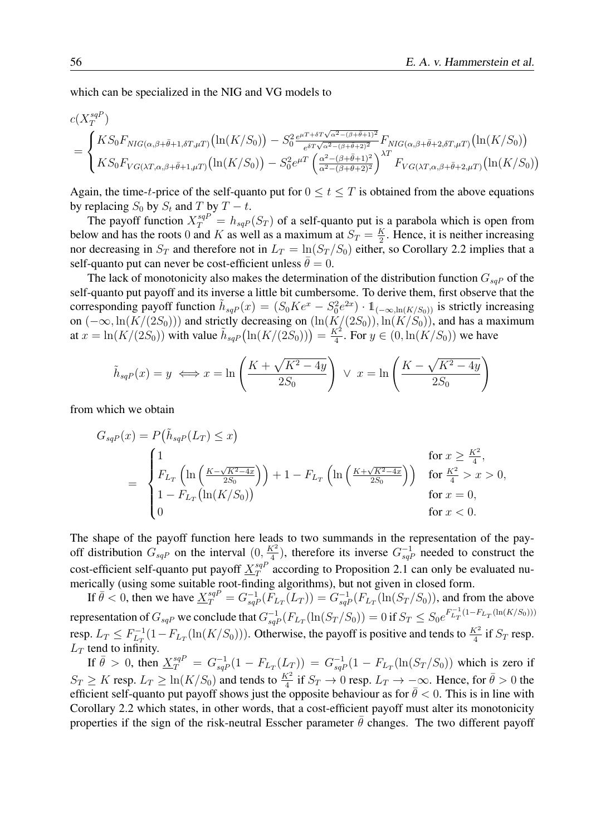which can be specialized in the NIG and VG models to

$$
c(X_T^{sqP})
$$
  
= 
$$
\begin{cases} KS_0F_{NIG(\alpha,\beta+\bar{\theta}+1,\delta T,\mu T)}(\ln(K/S_0)) - S_0^2 e^{\mu T + \delta T \sqrt{\alpha^2 - (\beta+\bar{\theta}+1)^2}} F_{NIG(\alpha,\beta+\bar{\theta}+2,\delta T,\mu T)}(\ln(K/S_0)) \\ KS_0F_{VG(\lambda T,\alpha,\beta+\bar{\theta}+1,\mu T)}(\ln(K/S_0)) - S_0^2 e^{\mu T} \left( \frac{\alpha^2 - (\beta+\bar{\theta}+1)^2}{\alpha^2 - (\beta+\bar{\theta}+2)^2} \right)^{\lambda T} F_{VG(\lambda T,\alpha,\beta+\bar{\theta}+2,\mu T)}(\ln(K/S_0)) \end{cases}
$$

Again, the time-t-price of the self-quanto put for  $0 \le t \le T$  is obtained from the above equations by replacing  $S_0$  by  $S_t$  and T by  $T - t$ .

The payoff function  $X_T^{sqP} = h_{sqP}(S_T)$  of a self-quanto put is a parabola which is open from below and has the roots 0 and K as well as a maximum at  $S_T = \frac{K}{2}$  $\frac{K}{2}$ . Hence, it is neither increasing nor decreasing in  $S_T$  and therefore not in  $L_T = \ln(S_T/S_0)$  either, so Corollary 2.2 implies that a self-quanto put can never be cost-efficient unless  $\theta = 0$ .

The lack of monotonicity also makes the determination of the distribution function  $G_{sqP}$  of the self-quanto put payoff and its inverse a little bit cumbersome. To derive them, first observe that the corresponding payoff function  $\tilde{h}_{sqP}(x) = (S_0 K e^x - S_0^2 e^{2x}) \cdot 1\!\!1_{(-\infty,\ln(K/S_0))}$  is strictly increasing on  $(-\infty, \ln(K/(2S_0)))$  and strictly decreasing on  $(\ln(K/(2S_0)), \ln(K/S_0))$ , and has a maximum at  $x = \ln(K/(2S_0))$  with value  $\tilde{h}_{sqP}(\ln(K/(2S_0))) = \frac{K^2}{4}$  $\frac{\zeta^2}{4}$ . For  $y \in (0, \ln(K/S_0))$  we have

$$
\tilde{h}_{sqP}(x) = y \iff x = \ln\left(\frac{K + \sqrt{K^2 - 4y}}{2S_0}\right) \lor x = \ln\left(\frac{K - \sqrt{K^2 - 4y}}{2S_0}\right)
$$

from which we obtain

$$
G_{sqP}(x) = P(\tilde{h}_{sqP}(L_T) \le x)
$$
  
= 
$$
\begin{cases} 1 & \text{for } x \ge \frac{K^2}{4}, \\ F_{L_T} \left( \ln \left( \frac{K - \sqrt{K^2 - 4x}}{2S_0} \right) \right) + 1 - F_{L_T} \left( \ln \left( \frac{K + \sqrt{K^2 - 4x}}{2S_0} \right) \right) & \text{for } \frac{K^2}{4} > x > 0, \\ 1 - F_{L_T} \left( \ln(K/S_0) \right) & \text{for } x = 0, \\ 0 & \text{for } x < 0. \end{cases}
$$

The shape of the payoff function here leads to two summands in the representation of the payoff distribution  $G_{sqP}$  on the interval  $(0, \frac{K^2}{4})$  $\frac{K^2}{4}$ ), therefore its inverse  $G_{sqP}^{-1}$  needed to construct the cost-efficient self-quanto put payoff  $X^{sqP}_{T}$  $T^{sqr}_{T}$  according to Proposition 2.1 can only be evaluated numerically (using some suitable root-finding algorithms), but not given in closed form.

If  $\bar{\theta} < 0$ , then we have  $\underline{X}^{sqP}_{T} = G_{sqP}^{-1}(F_{L_T}(L_T)) = G_{sqP}^{-1}(F_{L_T}(\ln(S_T/S_0)),$  and from the above representation of  $G_{sqP}$  we conclude that  $G_{sqP}^{-1}(F_{L_T}(\ln(S_T/S_0))=0$  if  $S_T\leq S_0e^{F_{L_T}^{-1}(1-F_{L_T}(\ln(K/S_0)))}$ resp.  $L_T \leq F_{L_T}^{-1}$  $L_T^{-1}(1 - F_{L_T}(\ln(K/S_0)))$ . Otherwise, the payoff is positive and tends to  $\frac{K^2}{4}$  if  $S_T$  resp.  $L_T$  tend to infinity.

If  $\bar{\theta} > 0$ , then  $\underline{X}^{sqP}_T = G_{sqP}^{-1}(1 - F_{L_T}(L_T)) = G_{sqP}^{-1}(1 - F_{L_T}(\ln(S_T/S_0))$  which is zero if  $S_T \ge K$  resp.  $L_T \ge \ln(K/S_0)$  and tends to  $\frac{K^2}{4}$  if  $S_T \to 0$  resp.  $L_T \to -\infty$ . Hence, for  $\bar{\theta} > 0$  the efficient self-quanto put payoff shows just the opposite behaviour as for  $\bar{\theta} < 0$ . This is in line with Corollary 2.2 which states, in other words, that a cost-efficient payoff must alter its monotonicity properties if the sign of the risk-neutral Esscher parameter  $\bar{\theta}$  changes. The two different payoff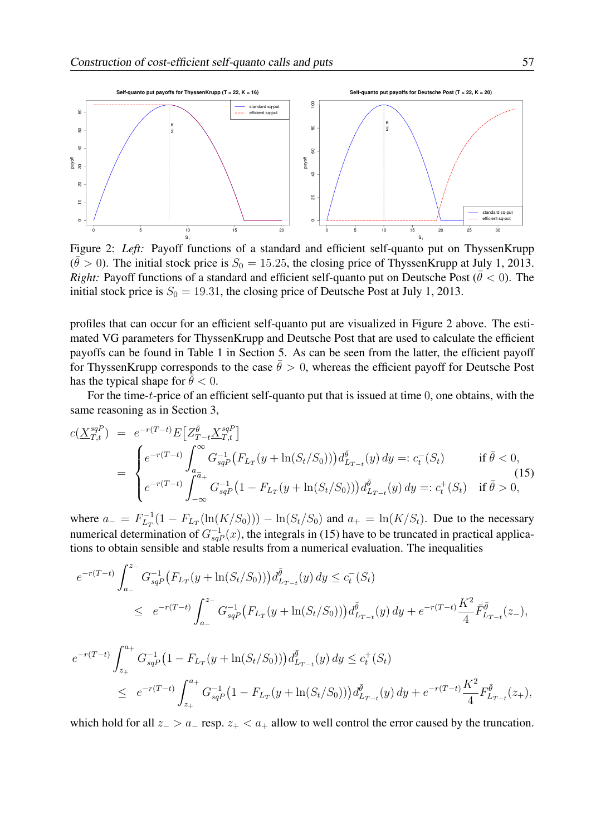

Figure 2: *Left:* Payoff functions of a standard and efficient self-quanto put on ThyssenKrupp  $(\bar{\theta} > 0)$ . The initial stock price is  $S_0 = 15.25$ , the closing price of ThyssenKrupp at July 1, 2013. *Right:* Payoff functions of a standard and efficient self-quanto put on Deutsche Post ( $\bar{\theta}$  < 0). The initial stock price is  $S_0 = 19.31$ , the closing price of Deutsche Post at July 1, 2013.

profiles that can occur for an efficient self-quanto put are visualized in Figure 2 above. The estimated VG parameters for ThyssenKrupp and Deutsche Post that are used to calculate the efficient payoffs can be found in Table 1 in Section 5. As can be seen from the latter, the efficient payoff for ThyssenKrupp corresponds to the case  $\bar{\theta} > 0$ , whereas the efficient payoff for Deutsche Post has the typical shape for  $\theta < 0$ .

For the time-t-price of an efficient self-quanto put that is issued at time 0, one obtains, with the same reasoning as in Section 3,

$$
c(\underline{X}_{T,t}^{sqP}) = e^{-r(T-t)} E[Z_{T-t}^{\overline{\theta}} \underline{X}_{T,t}^{sqP}]
$$
  
= 
$$
\begin{cases} e^{-r(T-t)} \int_{a_{\overline{a}}}^{\infty} G_{sqP}^{-1} (F_{L_T}(y + \ln(S_t/S_0))) d_{L_{T-t}}^{\overline{\theta}}(y) dy =: c_t^-(S_t) & \text{if } \overline{\theta} < 0, \\ e^{-r(T-t)} \int_{-\infty}^{\overline{a}_+} G_{sqP}^{-1} (1 - F_{L_T}(y + \ln(S_t/S_0))) d_{L_{T-t}}^{\overline{\theta}}(y) dy =: c_t^+(S_t) & \text{if } \overline{\theta} > 0, \end{cases}
$$
(15)

where  $a_- = F_{L_T}^{-1}$  $L_{L_T}^{-1}(1 - F_{L_T}(\ln(K/S_0))) - \ln(S_t/S_0)$  and  $a_+ = \ln(K/S_t)$ . Due to the necessary numerical determination of  $G_{sqP}^{-1}(x)$ , the integrals in (15) have to be truncated in practical applications to obtain sensible and stable results from a numerical evaluation. The inequalities

$$
e^{-r(T-t)}\int_{a_{-}}^{z_{-}} G_{sq}^{-1} (F_{L_T}(y+\ln(S_t/S_0)))d_{L_{T-t}}^{\bar{\theta}}(y) dy \le c_t^-(S_t)
$$
  

$$
\le e^{-r(T-t)}\int_{a_{-}}^{z_{-}} G_{sq}^{-1} (F_{L_T}(y+\ln(S_t/S_0)))d_{L_{T-t}}^{\bar{\theta}}(y) dy + e^{-r(T-t)}\frac{K^2}{4}\bar{F}_{L_{T-t}}^{\bar{\theta}}(z_{-}),
$$

$$
e^{-r(T-t)}\int_{z_+}^{a_+} G_{sqP}^{-1} (1 - F_{L_T}(y + \ln(S_t/S_0))) d_{L_{T-t}}^{\bar{\theta}}(y) dy \le c_t^+(S_t)
$$
  
 
$$
\le e^{-r(T-t)}\int_{z_+}^{a_+} G_{sqP}^{-1} (1 - F_{L_T}(y + \ln(S_t/S_0))) d_{L_{T-t}}^{\bar{\theta}}(y) dy + e^{-r(T-t)}\frac{K^2}{4} F_{L_{T-t}}^{\bar{\theta}}(z_+),
$$

which hold for all  $z_$  >  $a_$  resp.  $z_$  <  $a_+$  allow to well control the error caused by the truncation.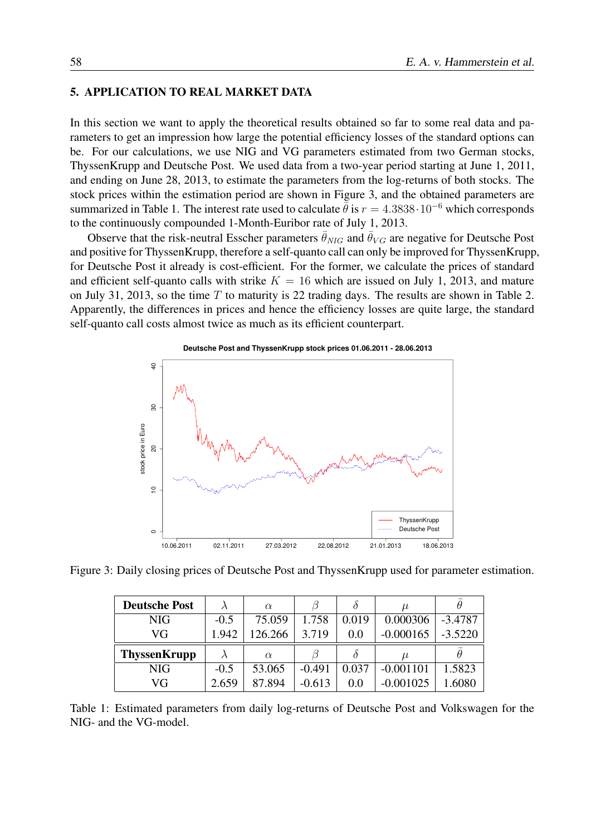## 5. APPLICATION TO REAL MARKET DATA

In this section we want to apply the theoretical results obtained so far to some real data and parameters to get an impression how large the potential efficiency losses of the standard options can be. For our calculations, we use NIG and VG parameters estimated from two German stocks, ThyssenKrupp and Deutsche Post. We used data from a two-year period starting at June 1, 2011, and ending on June 28, 2013, to estimate the parameters from the log-returns of both stocks. The stock prices within the estimation period are shown in Figure 3, and the obtained parameters are summarized in Table 1. The interest rate used to calculate  $\bar{\theta}$  is  $r = 4.3838 \cdot 10^{-6}$  which corresponds to the continuously compounded 1-Month-Euribor rate of July 1, 2013.

Observe that the risk-neutral Esscher parameters  $\bar{\theta}_{NIG}$  and  $\bar{\theta}_{VG}$  are negative for Deutsche Post and positive for ThyssenKrupp, therefore a self-quanto call can only be improved for ThyssenKrupp, for Deutsche Post it already is cost-efficient. For the former, we calculate the prices of standard and efficient self-quanto calls with strike  $K = 16$  which are issued on July 1, 2013, and mature on July 31, 2013, so the time  $T$  to maturity is 22 trading days. The results are shown in Table 2. Apparently, the differences in prices and hence the efficiency losses are quite large, the standard self-quanto call costs almost twice as much as its efficient counterpart.



Figure 3: Daily closing prices of Deutsche Post and ThyssenKrupp used for parameter estimation.

| <b>Deutsche Post</b> |        | $\alpha$ |          |       | $\mu$       |           |
|----------------------|--------|----------|----------|-------|-------------|-----------|
| <b>NIG</b>           | $-0.5$ | 75.059   | 1.758    | 0.019 | 0.000306    | $-3.4787$ |
| VG                   | 1.942  | 126.266  | 3.719    | 0.0   | $-0.000165$ | $-3.5220$ |
| <b>ThyssenKrupp</b>  |        | $\alpha$ |          |       | $\mu$       |           |
|                      |        |          |          |       |             |           |
| NIG                  | $-0.5$ | 53.065   | $-0.491$ | 0.037 | $-0.001101$ | 1.5823    |

Table 1: Estimated parameters from daily log-returns of Deutsche Post and Volkswagen for the NIG- and the VG-model.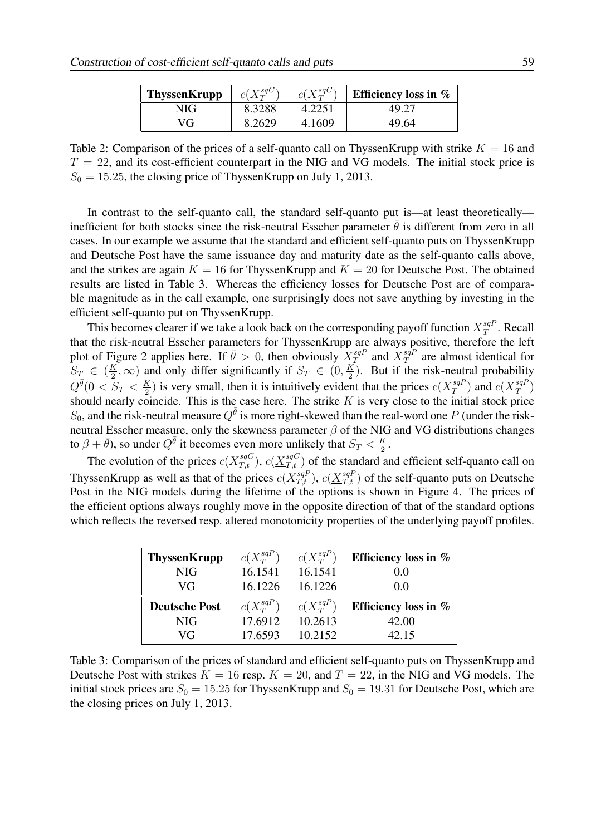| <b>ThyssenKrupp</b> | $c(X_T^{sqC})$ | $c(X^{sqC}_{T})$ | Efficiency loss in $%$ |
|---------------------|----------------|------------------|------------------------|
| NIG                 | 8.3288         | 4.2251           | 49.27                  |
| VG                  | 8.2629         | 4.1609           | 49.64                  |

Table 2: Comparison of the prices of a self-quanto call on ThyssenKrupp with strike  $K = 16$  and  $T = 22$ , and its cost-efficient counterpart in the NIG and VG models. The initial stock price is  $S_0 = 15.25$ , the closing price of ThyssenKrupp on July 1, 2013.

In contrast to the self-quanto call, the standard self-quanto put is—at least theoretically inefficient for both stocks since the risk-neutral Esscher parameter  $\bar{\theta}$  is different from zero in all cases. In our example we assume that the standard and efficient self-quanto puts on ThyssenKrupp and Deutsche Post have the same issuance day and maturity date as the self-quanto calls above, and the strikes are again  $K = 16$  for ThyssenKrupp and  $K = 20$  for Deutsche Post. The obtained results are listed in Table 3. Whereas the efficiency losses for Deutsche Post are of comparable magnitude as in the call example, one surprisingly does not save anything by investing in the efficient self-quanto put on ThyssenKrupp.

This becomes clearer if we take a look back on the corresponding payoff function  $X_{T}^{sqF}$  $T^{sqP}$ . Recall that the risk-neutral Esscher parameters for ThyssenKrupp are always positive, therefore the left plot of Figure 2 applies here. If  $\bar{\theta} > 0$ , then obviously  $X_{\tau}^{sqP}$  $\frac{sqP}{T}$  and  $\frac{X^{sqP}}{T}$  $T^{sqr}$  are almost identical for  $S_T \in (\frac{K}{2})$  $(\frac{K}{2}, \infty)$  and only differ significantly if  $S_T \in (0, \frac{K}{2})$  $\frac{K}{2}$ ). But if the risk-neutral probability  $Q^{\bar{\theta}}(0 < S_T < \frac{K}{2})$  $\frac{1}{2}$ ) is very small, then it is intuitively evident that the prices  $c(X_T^{sqP})$  $\binom{sqP}{T}$  and  $c(\underline{X}^{sqP}_T)$  $\binom{sqP}{T}$ should nearly coincide. This is the case here. The strike K is very close to the initial stock price  $S_0$ , and the risk-neutral measure  $Q^{\bar{\theta}}$  is more right-skewed than the real-word one P (under the riskneutral Esscher measure, only the skewness parameter  $\beta$  of the NIG and VG distributions changes to  $\beta + \bar{\theta}$ ), so under  $Q^{\bar{\theta}}$  it becomes even more unlikely that  $S_T < \frac{K}{2}$  $\frac{K}{2}$ .

The evolution of the prices  $c(X_{T,t}^{sqC})$ ,  $c(\underline{X_{T,t}^{sqC}})$  of the standard and efficient self-quanto call on ThyssenKrupp as well as that of the prices  $c(X_{T,t}^{sqP})$ ,  $c(\underline{X_{T,t}^{sqP}})$  of the self-quanto puts on Deutsche Post in the NIG models during the lifetime of the options is shown in Figure 4. The prices of the efficient options always roughly move in the opposite direction of that of the standard options which reflects the reversed resp. altered monotonicity properties of the underlying payoff profiles.

| <b>ThyssenKrupp</b>  | $c(X_{T}^{sqP})$ | $c(\underline{X}^{sqP}_{T})$ | Efficiency loss in $%$ |
|----------------------|------------------|------------------------------|------------------------|
| <b>NIG</b>           | 16.1541          | 16.1541                      | 0.0                    |
| VG                   | 16.1226          | 16.1226                      | 0.0                    |
|                      |                  |                              |                        |
| <b>Deutsche Post</b> | $c(X_{T}^{sqP})$ | $c(X_{T}^{sqP})$             | Efficiency loss in $%$ |
| <b>NIG</b>           | 17.6912          | 10.2613                      | 42.00                  |

Table 3: Comparison of the prices of standard and efficient self-quanto puts on ThyssenKrupp and Deutsche Post with strikes  $K = 16$  resp.  $K = 20$ , and  $T = 22$ , in the NIG and VG models. The initial stock prices are  $S_0 = 15.25$  for ThyssenKrupp and  $S_0 = 19.31$  for Deutsche Post, which are the closing prices on July 1, 2013.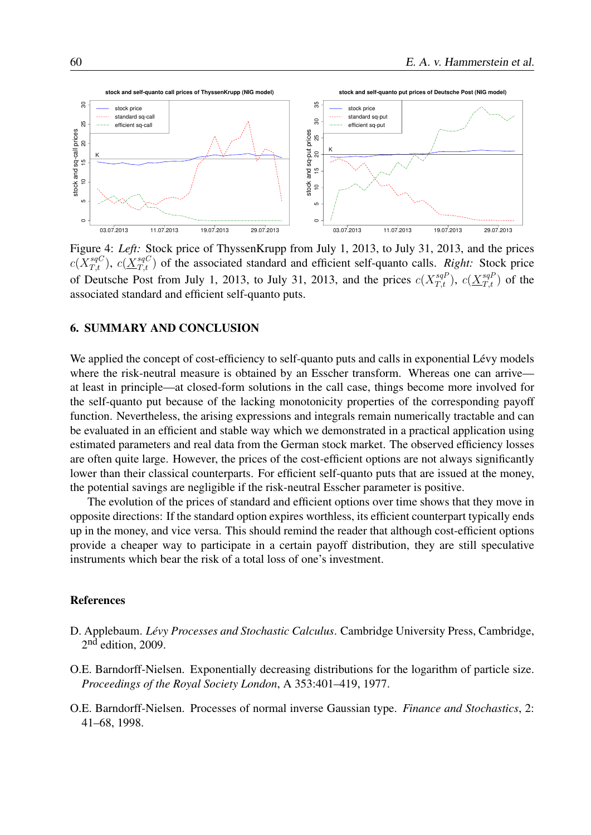

Figure 4: *Left:* Stock price of ThyssenKrupp from July 1, 2013, to July 31, 2013, and the prices  $c(X_{T,t}^{sqC})$ ,  $c(\underline{X}_{T,t}^{sqC})$  of the associated standard and efficient self-quanto calls. *Right:* Stock price of Deutsche Post from July 1, 2013, to July 31, 2013, and the prices  $c(X_{T,t}^{sqP})$ ,  $c(\underline{X_{T,t}^{sqP}})$  of the associated standard and efficient self-quanto puts.

#### 6. SUMMARY AND CONCLUSION

We applied the concept of cost-efficiency to self-quanto puts and calls in exponential Lévy models where the risk-neutral measure is obtained by an Esscher transform. Whereas one can arrive at least in principle—at closed-form solutions in the call case, things become more involved for the self-quanto put because of the lacking monotonicity properties of the corresponding payoff function. Nevertheless, the arising expressions and integrals remain numerically tractable and can be evaluated in an efficient and stable way which we demonstrated in a practical application using estimated parameters and real data from the German stock market. The observed efficiency losses are often quite large. However, the prices of the cost-efficient options are not always significantly lower than their classical counterparts. For efficient self-quanto puts that are issued at the money, the potential savings are negligible if the risk-neutral Esscher parameter is positive.

The evolution of the prices of standard and efficient options over time shows that they move in opposite directions: If the standard option expires worthless, its efficient counterpart typically ends up in the money, and vice versa. This should remind the reader that although cost-efficient options provide a cheaper way to participate in a certain payoff distribution, they are still speculative instruments which bear the risk of a total loss of one's investment.

#### References

- D. Applebaum. *Lévy Processes and Stochastic Calculus*. Cambridge University Press, Cambridge, 2<sup>nd</sup> edition, 2009.
- O.E. Barndorff-Nielsen. Exponentially decreasing distributions for the logarithm of particle size. *Proceedings of the Royal Society London*, A 353:401–419, 1977.
- O.E. Barndorff-Nielsen. Processes of normal inverse Gaussian type. *Finance and Stochastics*, 2: 41–68, 1998.